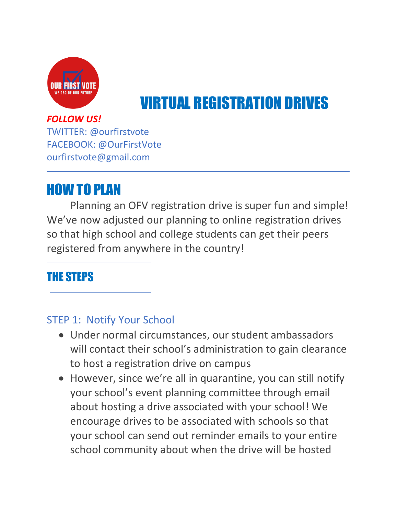

# VIRTUAL REGISTRATION DRIVES

#### *FOLLOW US!*

TWITTER: @ourfirstvote FACEBOOK: @OurFirstVote ourfirstvote@gmail.com

## HOW TO PLAN

Planning an OFV registration drive is super fun and simple! We've now adjusted our planning to online registration drives so that high school and college students can get their peers registered from anywhere in the country!

### THE STEPS

#### STEP 1: Notify Your School

- Under normal circumstances, our student ambassadors will contact their school's administration to gain clearance to host a registration drive on campus
- However, since we're all in quarantine, you can still notify your school's event planning committee through email about hosting a drive associated with your school! We encourage drives to be associated with schools so that your school can send out reminder emails to your entire school community about when the drive will be hosted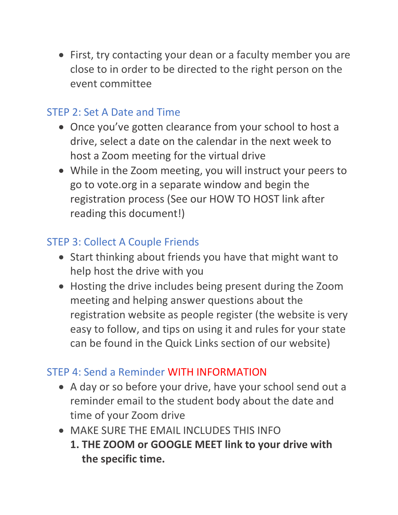• First, try contacting your dean or a faculty member you are close to in order to be directed to the right person on the event committee

#### STEP 2: Set A Date and Time

- Once you've gotten clearance from your school to host a drive, select a date on the calendar in the next week to host a Zoom meeting for the virtual drive
- While in the Zoom meeting, you will instruct your peers to go to vote.org in a separate window and begin the registration process (See our HOW TO HOST link after reading this document!)

#### STEP 3: Collect A Couple Friends

- Start thinking about friends you have that might want to help host the drive with you
- Hosting the drive includes being present during the Zoom meeting and helping answer questions about the registration website as people register (the website is very easy to follow, and tips on using it and rules for your state can be found in the Quick Links section of our website)

#### STEP 4: Send a Reminder WITH INFORMATION

- A day or so before your drive, have your school send out a reminder email to the student body about the date and time of your Zoom drive
- MAKE SURE THE EMAIL INCLUDES THIS INFO
	- **1. THE ZOOM or GOOGLE MEET link to your drive with the specific time.**